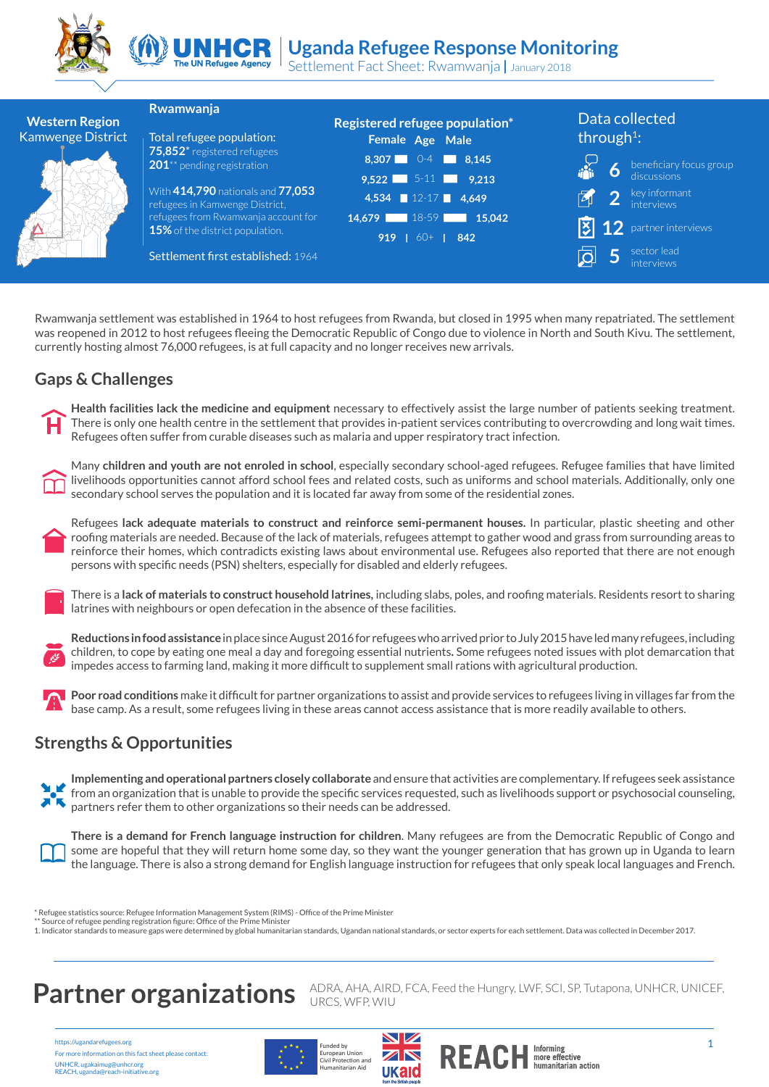



# UNHCR Uganda Refugee Response Monitoring

Settlement Fact Sheet: Rwamwanja **|** January 2018



Rwamwanja settlement was established in 1964 to host refugees from Rwanda, but closed in 1995 when many repatriated. The settlement was reopened in 2012 to host refugees fleeing the Democratic Republic of Congo due to violence in North and South Kivu. The settlement, currently hosting almost 76,000 refugees, is at full capacity and no longer receives new arrivals.

#### **Gaps & Challenges**

**Health facilities lack the medicine and equipment** necessary to effectively assist the large number of patients seeking treatment. There is only one health centre in the settlement that provides in-patient services contributing to overcrowding and long wait times. Refugees often suffer from curable diseases such as malaria and upper respiratory tract infection.



Many **children and youth are not enroled in school**, especially secondary school-aged refugees. Refugee families that have limited livelihoods opportunities cannot afford school fees and related costs, such as uniforms and school materials. Additionally, only one secondary school serves the population and it is located far away from some of the residential zones.

Refugees **lack adequate materials to construct and reinforce semi-permanent houses.** In particular, plastic sheeting and other roofing materials are needed. Because of the lack of materials, refugees attempt to gather wood and grass from surrounding areas to reinforce their homes, which contradicts existing laws about environmental use. Refugees also reported that there are not enough persons with specific needs (PSN) shelters, especially for disabled and elderly refugees.



There is a **lack of materials to construct household latrines,** including slabs, poles, and roofing materials. Residents resort to sharing latrines with neighbours or open defecation in the absence of these facilities.



**Reductions in food assistance** in place since August 2016 for refugees who arrived prior to July 2015 have led many refugees, including children, to cope by eating one meal a day and foregoing essential nutrients**.** Some refugees noted issues with plot demarcation that impedes access to farming land, making it more difficult to supplement small rations with agricultural production.



#### **Strengths & Opportunities**

**Implementing and operational partners closely collaborate** and ensure that activities are complementary. If refugees seek assistance from an organization that is unable to provide the specific services requested, such as livelihoods support or psychosocial counseling, partners refer them to other organizations so their needs can be addressed.



**There is a demand for French language instruction for children**. Many refugees are from the Democratic Republic of Congo and some are hopeful that they will return home some day, so they want the younger generation that has grown up in Uganda to learn the language. There is also a strong demand for English language instruction for refugees that only speak local languages and French.

Refugee statistics source: Refugee Information Management System (RIMS) - Office of the Prime Minister

\*\* Source of refugee pending registration figure: Office of the Prime Minister<br>1. Indicator standards to measure gaps were determined by global humanitarian standards, Ugandan national standards, or sector experts for each

**Partner organizations** ADRA, AHA, AIRD, FCA, Feed the Hungry, LWF, SCI, SP, Tutapona, UNHCR, UNICEF,

https://ugandarefugees.org For more information on this fact sheet please contact: UNHCR, ugakaimug@unhcr.org REACH, uganda@reach-initiative.org





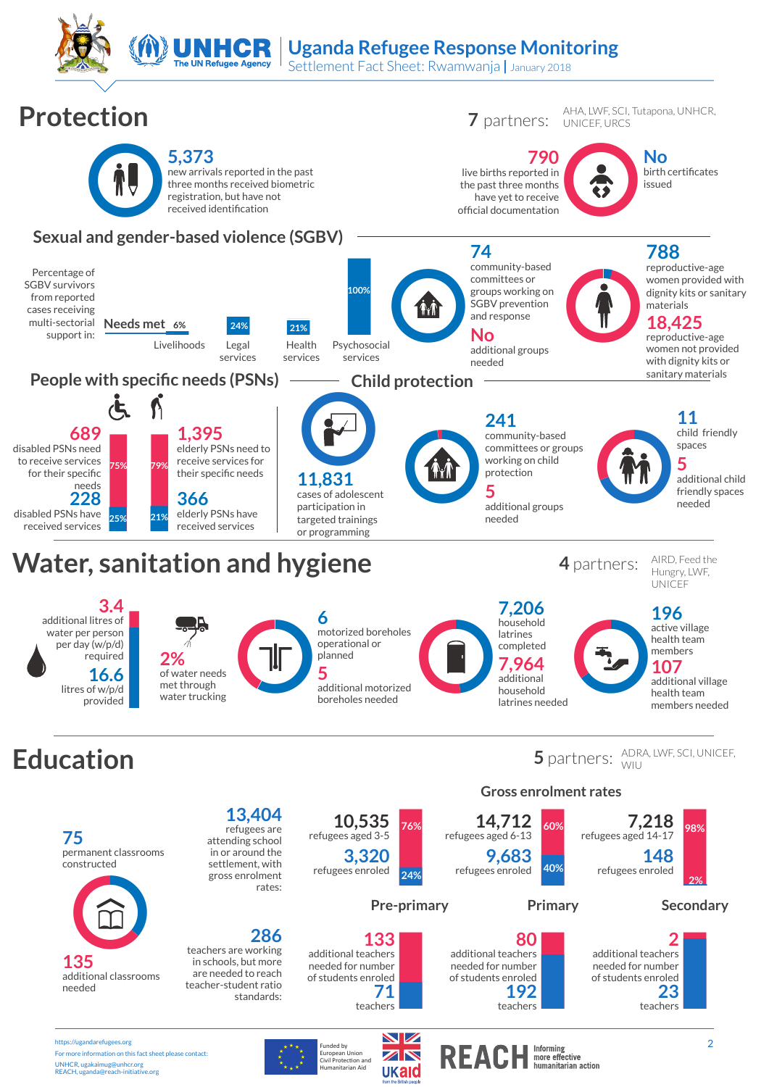**Uganda Refugee Response Monitoring**

Settlement Fact Sheet: Rwamwanja **|** January 2018



UNHCR, ugakaimug@unhcr.org REACH, uganda@reach-initiative.org

### European Union<br>Civil Protection and<br>Humanitarian Aid